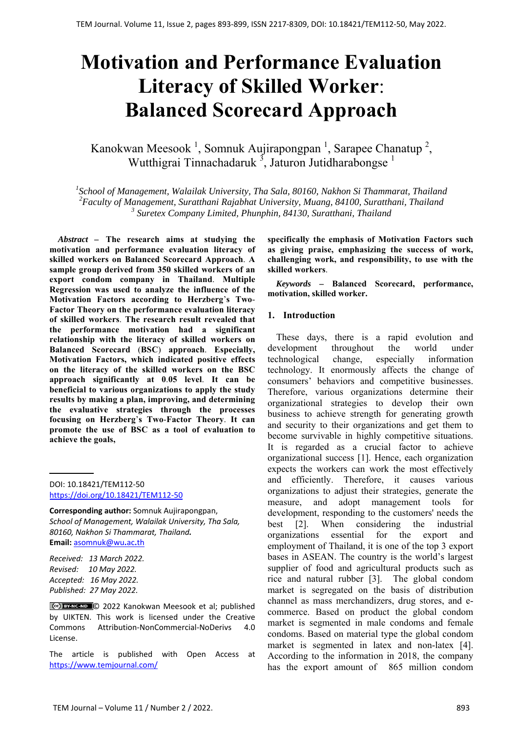# **Motivation and Performance Evaluation Literacy of Skilled Worker**: **Balanced Scorecard Approach**

Kanokwan Meesook<sup>1</sup>, Somnuk Aujirapongpan<sup>1</sup>, Sarapee Chanatup<sup>2</sup>, Wutthigrai Tinnachadaruk<sup>3</sup>, Jaturon Jutidharabongse<sup>1</sup>

*1 School of Management, Walailak University, Tha Sala, 80160, Nakhon Si Thammarat, Thailand 2 Faculty of Management, Suratthani Rajabhat University, Muang, 84100, Suratthani, Thailand <sup>3</sup> Suretex Company Limited, Phunphin, 84130, Suratthani, Thailand*

*Abstract –* **The research aims at studying the motivation and performance evaluation literacy of skilled workers on Balanced Scorecard Approach**. **A sample group derived from 350 skilled workers of an export condom company in Thailand**. **Multiple Regression was used to analyze the influence of the Motivation Factors according to Herzberg**'**s Two**-**Factor Theory on the performance evaluation literacy of skilled workers**. **The research result revealed that the performance motivation had a significant relationship with the literacy of skilled workers on Balanced Scorecard** (**BSC**) **approach**. **Especially, Motivation Factors, which indicated positive effects on the literacy of the skilled workers on the BSC approach significantly at 0**.**05 level**. **It can be beneficial to various organizations to apply the study results by making a plan, improving, and determining the evaluative strategies through the processes focusing on Herzberg**'**s Two**-**Factor Theory**. **It can promote the use of BSC as a tool of evaluation to achieve the goals,** 

DOI: 10.18421/TEM112-50 [https://doi.org/10.18421/TEM112](https://doi.org/10.18421/TEM112-50)-50

**Corresponding author:** Somnuk Aujirapongpan, *School of Management, Walailak University, Tha Sala, 80160, Nakhon Si Thammarat, Thailand.* **Email:** asomnuk@wu**.**ac**.**th

*Received: 13 March 2022. Revised: 10 May 2022. Accepted: 16 May 2022. Published: 27 May 2022.* 

© 2022 Kanokwan Meesook et al; published by UIKTEN. This work is licensed under the Creative Commons Attribution‐NonCommercial‐NoDerivs 4.0 License.

The article is published with Open Access at https://www.temjournal.com/

**specifically the emphasis of Motivation Factors such as giving praise, emphasizing the success of work, challenging work, and responsibility, to use with the skilled workers**.

*Keywords –* **Balanced Scorecard, performance, motivation, skilled worker.** 

#### **1. Introduction**

These days, there is a rapid evolution and development throughout the world under technological change, especially information technology. It enormously affects the change of consumers' behaviors and competitive businesses. Therefore, various organizations determine their organizational strategies to develop their own business to achieve strength for generating growth and security to their organizations and get them to become survivable in highly competitive situations. It is regarded as a crucial factor to achieve organizational success [1]. Hence, each organization expects the workers can work the most effectively and efficiently. Therefore, it causes various organizations to adjust their strategies, generate the measure, and adopt management tools for development, responding to the customers' needs the best [2]. When considering the industrial organizations essential for the export and employment of Thailand, it is one of the top 3 export bases in ASEAN. The country is the world's largest supplier of food and agricultural products such as rice and natural rubber [3]. The global condom market is segregated on the basis of distribution channel as mass merchandizers, drug stores, and ecommerce. Based on product the global condom market is segmented in male condoms and female condoms. Based on material type the global condom market is segmented in latex and non-latex [4]. According to the information in 2018, the company has the export amount of 865 million condom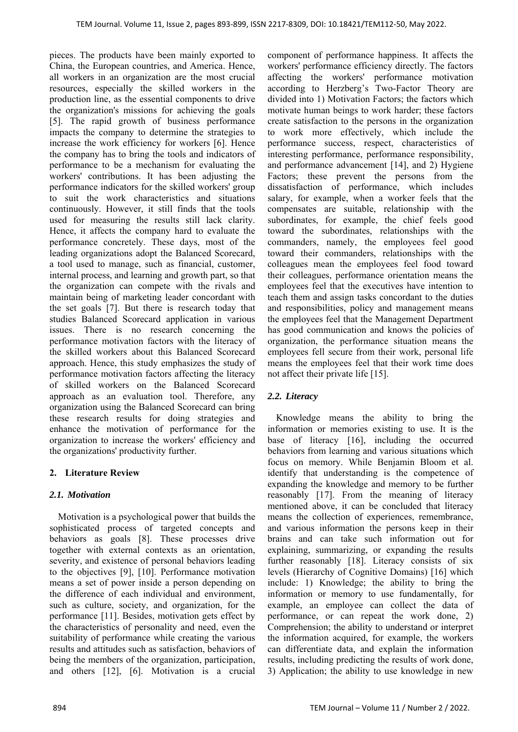pieces. The products have been mainly exported to China, the European countries, and America. Hence, all workers in an organization are the most crucial resources, especially the skilled workers in the production line, as the essential components to drive the organization's missions for achieving the goals [5]. The rapid growth of business performance impacts the company to determine the strategies to increase the work efficiency for workers [6]. Hence the company has to bring the tools and indicators of performance to be a mechanism for evaluating the workers' contributions. It has been adjusting the performance indicators for the skilled workers' group to suit the work characteristics and situations continuously. However, it still finds that the tools used for measuring the results still lack clarity. Hence, it affects the company hard to evaluate the performance concretely. These days, most of the leading organizations adopt the Balanced Scorecard, a tool used to manage, such as financial, customer, internal process, and learning and growth part, so that the organization can compete with the rivals and maintain being of marketing leader concordant with the set goals [7]. But there is research today that studies Balanced Scorecard application in various issues. There is no research concerning the performance motivation factors with the literacy of the skilled workers about this Balanced Scorecard approach. Hence, this study emphasizes the study of performance motivation factors affecting the literacy of skilled workers on the Balanced Scorecard approach as an evaluation tool. Therefore, any organization using the Balanced Scorecard can bring these research results for doing strategies and enhance the motivation of performance for the organization to increase the workers' efficiency and the organizations' productivity further.

# **2. Literature Review**

# *2.1. Motivation*

Motivation is a psychological power that builds the sophisticated process of targeted concepts and behaviors as goals [8]. These processes drive together with external contexts as an orientation, severity, and existence of personal behaviors leading to the objectives [9], [10]. Performance motivation means a set of power inside a person depending on the difference of each individual and environment, such as culture, society, and organization, for the performance [11]. Besides, motivation gets effect by the characteristics of personality and need, even the suitability of performance while creating the various results and attitudes such as satisfaction, behaviors of being the members of the organization, participation, and others [12], [6]. Motivation is a crucial

component of performance happiness. It affects the workers' performance efficiency directly. The factors affecting the workers' performance motivation according to Herzberg's Two-Factor Theory are divided into 1) Motivation Factors; the factors which motivate human beings to work harder; these factors create satisfaction to the persons in the organization to work more effectively, which include the performance success, respect, characteristics of interesting performance, performance responsibility, and performance advancement [14], and 2) Hygiene Factors; these prevent the persons from the dissatisfaction of performance, which includes salary, for example, when a worker feels that the compensates are suitable, relationship with the subordinates, for example, the chief feels good toward the subordinates, relationships with the commanders, namely, the employees feel good toward their commanders, relationships with the colleagues mean the employees feel food toward their colleagues, performance orientation means the employees feel that the executives have intention to teach them and assign tasks concordant to the duties and responsibilities, policy and management means the employees feel that the Management Department has good communication and knows the policies of organization, the performance situation means the employees fell secure from their work, personal life means the employees feel that their work time does not affect their private life [15].

# *2.2. Literacy*

Knowledge means the ability to bring the information or memories existing to use. It is the base of literacy [16], including the occurred behaviors from learning and various situations which focus on memory. While Benjamin Bloom et al. identify that understanding is the competence of expanding the knowledge and memory to be further reasonably [17]. From the meaning of literacy mentioned above, it can be concluded that literacy means the collection of experiences, remembrance, and various information the persons keep in their brains and can take such information out for explaining, summarizing, or expanding the results further reasonably [18]. Literacy consists of six levels (Hierarchy of Cognitive Domains) [16] which include: 1) Knowledge; the ability to bring the information or memory to use fundamentally, for example, an employee can collect the data of performance, or can repeat the work done, 2) Comprehension; the ability to understand or interpret the information acquired, for example, the workers can differentiate data, and explain the information results, including predicting the results of work done, 3) Application; the ability to use knowledge in new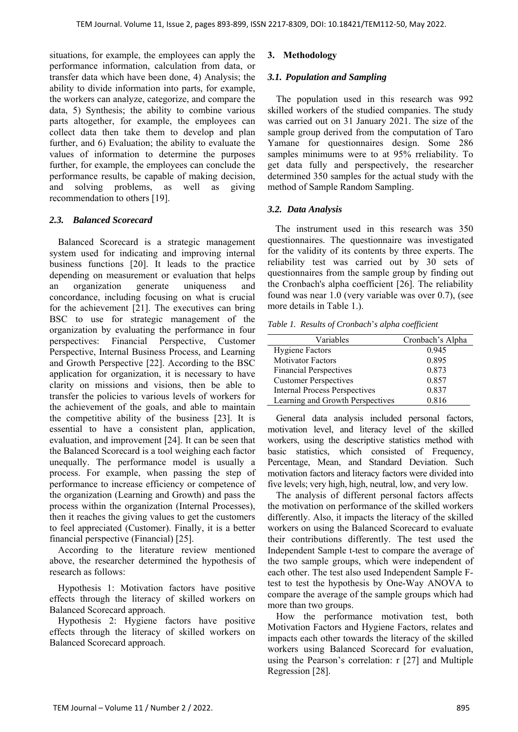situations, for example, the employees can apply the performance information, calculation from data, or transfer data which have been done, 4) Analysis; the ability to divide information into parts, for example, the workers can analyze, categorize, and compare the data, 5) Synthesis; the ability to combine various parts altogether, for example, the employees can collect data then take them to develop and plan further, and 6) Evaluation; the ability to evaluate the values of information to determine the purposes further, for example, the employees can conclude the performance results, be capable of making decision, and solving problems, as well as giving recommendation to others [19].

## *2.3. Balanced Scorecard*

Balanced Scorecard is a strategic management system used for indicating and improving internal business functions [20]. It leads to the practice depending on measurement or evaluation that helps an organization generate uniqueness and concordance, including focusing on what is crucial for the achievement [21]. The executives can bring BSC to use for strategic management of the organization by evaluating the performance in four perspectives: Financial Perspective, Customer Perspective, Internal Business Process, and Learning and Growth Perspective [22]. According to the BSC application for organization, it is necessary to have clarity on missions and visions, then be able to transfer the policies to various levels of workers for the achievement of the goals, and able to maintain the competitive ability of the business [23]. It is essential to have a consistent plan, application, evaluation, and improvement [24]. It can be seen that the Balanced Scorecard is a tool weighing each factor unequally. The performance model is usually a process. For example, when passing the step of performance to increase efficiency or competence of the organization (Learning and Growth) and pass the process within the organization (Internal Processes), then it reaches the giving values to get the customers to feel appreciated (Customer). Finally, it is a better financial perspective (Financial) [25].

According to the literature review mentioned above, the researcher determined the hypothesis of research as follows:

Hypothesis 1: Motivation factors have positive effects through the literacy of skilled workers on Balanced Scorecard approach.

Hypothesis 2: Hygiene factors have positive effects through the literacy of skilled workers on Balanced Scorecard approach.

# **3. Methodology**

## *3.1. Population and Sampling*

The population used in this research was 992 skilled workers of the studied companies. The study was carried out on 31 January 2021. The size of the sample group derived from the computation of Taro Yamane for questionnaires design. Some 286 samples minimums were to at 95% rreliability. To get data fully and perspectively, the researcher determined 350 samples for the actual study with the method of Sample Random Sampling.

# *3.2. Data Analysis*

The instrument used in this research was 350 questionnaires. The questionnaire was investigated for the validity of its contents by three experts. The reliability test was carried out by 30 sets of questionnaires from the sample group by finding out the Cronbach's alpha coefficient [26]. The reliability found was near 1.0 (very variable was over 0.7), (see more details in Table 1.).

*Table 1. Results of Cronbach*'*s alpha coefficient* 

| Variables                            | Cronbach's Alpha |
|--------------------------------------|------------------|
| <b>Hygiene Factors</b>               | 0.945            |
| <b>Motivator Factors</b>             | 0.895            |
| <b>Financial Perspectives</b>        | 0.873            |
| <b>Customer Perspectives</b>         | 0.857            |
| <b>Internal Process Perspectives</b> | 0.837            |
| Learning and Growth Perspectives     | 0.816            |

General data analysis included personal factors, motivation level, and literacy level of the skilled workers, using the descriptive statistics method with basic statistics, which consisted of Frequency, Percentage, Mean, and Standard Deviation. Such motivation factors and literacy factors were divided into five levels; very high, high, neutral, low, and very low.

The analysis of different personal factors affects the motivation on performance of the skilled workers differently. Also, it impacts the literacy of the skilled workers on using the Balanced Scorecard to evaluate their contributions differently. The test used the Independent Sample t-test to compare the average of the two sample groups, which were independent of each other. The test also used Independent Sample Ftest to test the hypothesis by One-Way ANOVA to compare the average of the sample groups which had more than two groups.

How the performance motivation test, both Motivation Factors and Hygiene Factors, relates and impacts each other towards the literacy of the skilled workers using Balanced Scorecard for evaluation, using the Pearson's correlation: r [27] and Multiple Regression [28].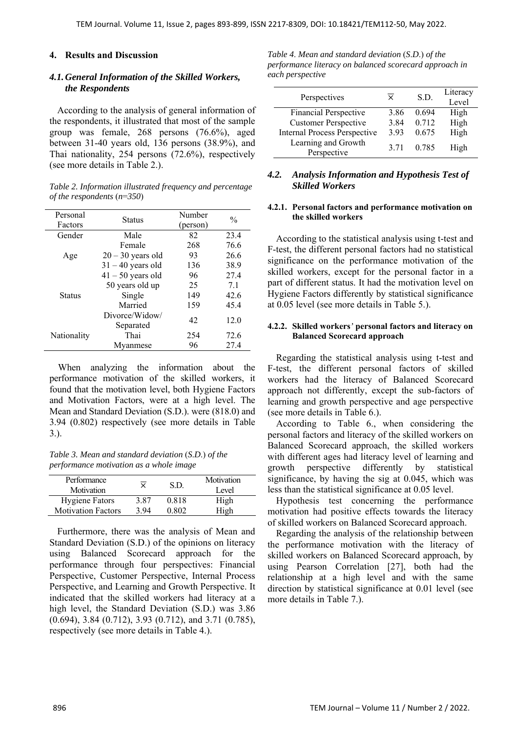#### **4. Results and Discussion**

#### *4.1.General Information of the Skilled Workers, the Respondents*

According to the analysis of general information of the respondents, it illustrated that most of the sample group was female, 268 persons (76.6%), aged between 31-40 years old, 136 persons (38.9%), and Thai nationality, 254 persons (72.6%), respectively (see more details in Table 2.).

| Table 2. Information illustrated frequency and percentage |  |
|-----------------------------------------------------------|--|
| of the respondents $(n=350)$                              |  |

| Personal<br>Factors | <b>Status</b>               | Number<br>(person) | $\frac{0}{0}$ |
|---------------------|-----------------------------|--------------------|---------------|
| Gender              | Male                        | 82                 | 23.4          |
|                     | Female                      | 268                | 76.6          |
| Age                 | $20 - 30$ years old         | 93                 | 26.6          |
|                     | $31 - 40$ years old         | 136                | 38.9          |
|                     | $41 - 50$ years old         | 96                 | 27.4          |
|                     | 50 years old up             | 25                 | 7.1           |
| <b>Status</b>       | Single                      | 149                | 42.6          |
|                     | Married                     | 159                | 45.4          |
|                     | Divorce/Widow/<br>Separated | 42                 | 12.0          |
| Nationality         | Thai                        | 254                | 72.6          |
|                     | Mvanmese                    | 96                 | 27.4          |

When analyzing the information about the performance motivation of the skilled workers, it found that the motivation level, both Hygiene Factors and Motivation Factors, were at a high level. The Mean and Standard Deviation (S.D.). were (818.0) and 3.94 (0.802) respectively (see more details in Table 3.).

*Table 3. Mean and standard deviation* (*S*.*D*.) *of the performance motivation as a whole image* 

| Performance<br>Motivation | $\times$ | S D.  | Motivation<br>Level |
|---------------------------|----------|-------|---------------------|
| <b>Hygiene Fators</b>     | 3.87     | 0.818 | High                |
| <b>Motivation Factors</b> | 3.94     | 0.802 | High                |

Furthermore, there was the analysis of Mean and Standard Deviation (S.D.) of the opinions on literacy using Balanced Scorecard approach for the performance through four perspectives: Financial Perspective, Customer Perspective, Internal Process Perspective, and Learning and Growth Perspective. It indicated that the skilled workers had literacy at a high level, the Standard Deviation (S.D.) was 3.86 (0.694), 3.84 (0.712), 3.93 (0.712), and 3.71 (0.785), respectively (see more details in Table 4.).

*Table 4*. *Mean and standard deviation* (*S*.*D*.) *of the performance literacy on balanced scorecard approach in each perspective* 

| Perspectives                        | $\times$ | S.D.  | Literacy<br>Level |
|-------------------------------------|----------|-------|-------------------|
| <b>Financial Perspective</b>        | 3.86     | 0.694 | High              |
| <b>Customer Perspective</b>         | 3.84     | 0.712 | High              |
| <b>Internal Process Perspective</b> | 3.93     | 0.675 | High              |
| Learning and Growth<br>Perspective  | 3.71     | 0.785 | High              |

### *4.2. Analysis Information and Hypothesis Test of Skilled Workers*

#### **4.2.1. Personal factors and performance motivation on the skilled workers**

According to the statistical analysis using t-test and F-test, the different personal factors had no statistical significance on the performance motivation of the skilled workers, except for the personal factor in a part of different status. It had the motivation level on Hygiene Factors differently by statistical significance at 0.05 level (see more details in Table 5.).

#### **4.2.2. Skilled workers***'* **personal factors and literacy on Balanced Scorecard approach**

Regarding the statistical analysis using t-test and F-test, the different personal factors of skilled workers had the literacy of Balanced Scorecard approach not differently, except the sub-factors of learning and growth perspective and age perspective (see more details in Table 6.).

According to Table 6., when considering the personal factors and literacy of the skilled workers on Balanced Scorecard approach, the skilled workers with different ages had literacy level of learning and growth perspective differently by statistical significance, by having the sig at 0.045, which was less than the statistical significance at 0.05 level.

Hypothesis test concerning the performance motivation had positive effects towards the literacy of skilled workers on Balanced Scorecard approach.

Regarding the analysis of the relationship between the performance motivation with the literacy of skilled workers on Balanced Scorecard approach, by using Pearson Correlation [27], both had the relationship at a high level and with the same direction by statistical significance at 0.01 level (see more details in Table 7.).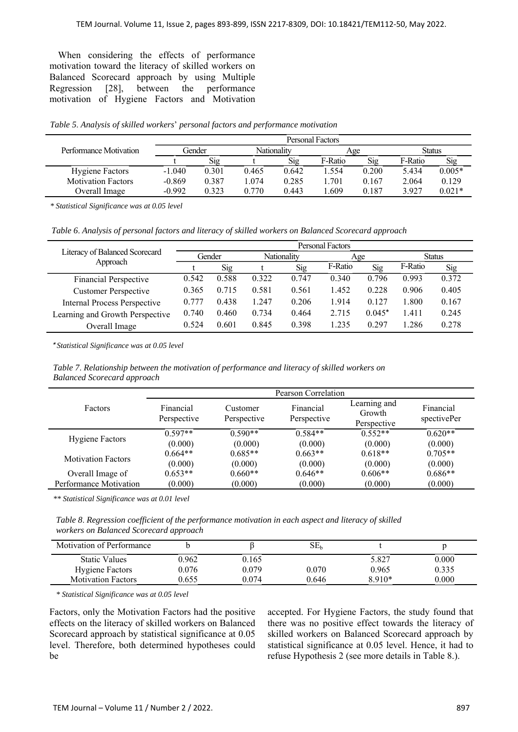When considering the effects of performance motivation toward the literacy of skilled workers on Balanced Scorecard approach by using Multiple<br>Regression [28], between the performance Regression  $[28]$ , between the motivation of Hygiene Factors and Motivation

*Table 5*. *Analysis of skilled workers*' *personal factors and performance motivation* 

|                           |          |       |             |       | Personal Factors |       |         |          |
|---------------------------|----------|-------|-------------|-------|------------------|-------|---------|----------|
| Performance Motivation    | Gender   |       | Nationality |       | Age              |       | Status  |          |
|                           |          | Sig   |             | Sig   | F-Ratio          | Sig   | F-Ratio | Sig      |
| <b>Hygiene Factors</b>    | $-1.040$ | 0.301 | 0.465       | 0.642 | 1.554            | 0.200 | 5.434   | $0.005*$ |
| <b>Motivation Factors</b> | $-0.869$ | 0.387 | 1.074       | 0.285 | 1.701            | 0.167 | 2.064   | 0.129    |
| Overall Image             | $-0.992$ | 0.323 | 0.770       | 0.443 | .609             | 0.187 | 3.927   | $0.021*$ |

*\* Statistical Significance was at 0.05 level* 

*Table 6*. *Analysis of personal factors and literacy of skilled workers on Balanced Scorecard approach* 

|                                     | Personal Factors |        |       |             |         |          |         |        |
|-------------------------------------|------------------|--------|-------|-------------|---------|----------|---------|--------|
| Literacy of Balanced Scorecard      |                  | Gender |       | Nationality | Age     |          |         | Status |
| Approach                            |                  | Sig    |       | Sig         | F-Ratio | Sig      | F-Ratio | Sig    |
| Financial Perspective               | 0.542            | 0.588  | 0.322 | 0.747       | 0.340   | 0.796    | 0.993   | 0.372  |
| <b>Customer Perspective</b>         | 0.365            | 0.715  | 0.581 | 0.561       | 1.452   | 0.228    | 0.906   | 0.405  |
| <b>Internal Process Perspective</b> | 0.777            | 0.438  | 0.247 | 0.206       | 1.914   | 0.127    | 1.800   | 0.167  |
| Learning and Growth Perspective     | 0.740            | 0.460  | 0.734 | 0.464       | 2.715   | $0.045*$ | 1.411   | 0.245  |
| Overall Image                       | 0.524            | 0.601  | 0.845 | 0.398       | 1.235   | 0.297    | 1.286   | 0.278  |

\* *Statistical Significance was at 0*.*05 level* 

*Table 7*. *Relationship between the motivation of performance and literacy of skilled workers on Balanced Scorecard approach* 

|                           | Pearson Correlation      |                         |                          |                                       |                          |  |  |
|---------------------------|--------------------------|-------------------------|--------------------------|---------------------------------------|--------------------------|--|--|
| Factors                   | Financial<br>Perspective | Customer<br>Perspective | Financial<br>Perspective | Learning and<br>Growth<br>Perspective | Financial<br>spectivePer |  |  |
|                           | $0.597**$                | $0.590**$               | $0.584**$                | $0.552**$                             | $0.620**$                |  |  |
| <b>Hygiene Factors</b>    | (0.000)                  | (0.000)                 | (0.000)                  | (0.000)                               | (0.000)                  |  |  |
| <b>Motivation Factors</b> | $0.664**$                | $0.685**$               | $0.663**$                | $0.618**$                             | $0.705**$                |  |  |
|                           | (0.000)                  | (0.000)                 | (0.000)                  | (0.000)                               | (0.000)                  |  |  |
| Overall Image of          | $0.653**$                | $0.660**$               | $0.646**$                | $0.606**$                             | $0.686**$                |  |  |
| Performance Motivation    | (0.000)                  | (0.000)                 | (0.000)                  | (0.000)                               | (0.000)                  |  |  |

*\*\* Statistical Significance was at 0.01 level* 

*Table 8*. *Regression coefficient of the performance motivation in each aspect and literacy of skilled workers on Balanced Scorecard approach* 

| Motivation of Performance |       |       | $SE_{b}$ |        |       |
|---------------------------|-------|-------|----------|--------|-------|
| <b>Static Values</b>      | 0.962 | 0.165 |          | 5.827  | 0.000 |
| <b>Hygiene Factors</b>    | 0.076 | 0.079 | 0.070    | 0.965  | 0.335 |
| <b>Motivation Factors</b> | 0.655 | 0.074 | 0.646    | 8.910* | 0.000 |

*\* Statistical Significance was at 0.05 level* 

Factors, only the Motivation Factors had the positive effects on the literacy of skilled workers on Balanced Scorecard approach by statistical significance at 0.05 level. Therefore, both determined hypotheses could be

accepted. For Hygiene Factors, the study found that there was no positive effect towards the literacy of skilled workers on Balanced Scorecard approach by statistical significance at 0.05 level. Hence, it had to refuse Hypothesis 2 (see more details in Table 8.).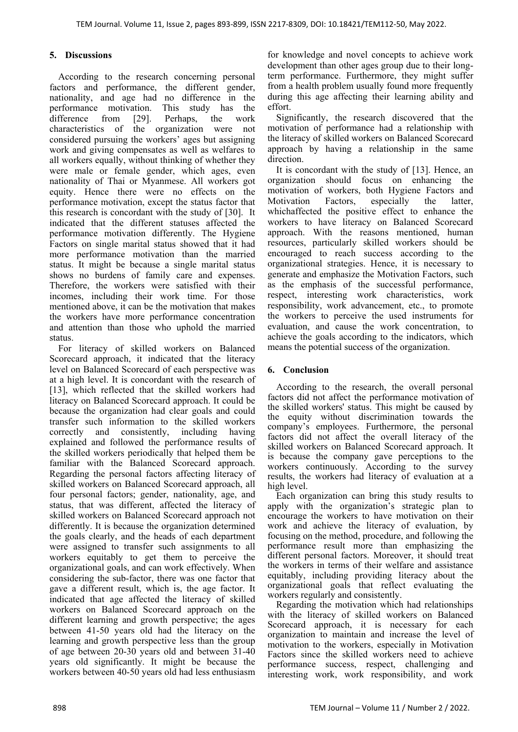# **5. Discussions**

According to the research concerning personal factors and performance, the different gender, nationality, and age had no difference in the performance motivation. This study has the difference from [29]. Perhaps, the work characteristics of the organization were not considered pursuing the workers' ages but assigning work and giving compensates as well as welfares to all workers equally, without thinking of whether they were male or female gender, which ages, even nationality of Thai or Myanmese. All workers got equity. Hence there were no effects on the performance motivation, except the status factor that this research is concordant with the study of [30]. It indicated that the different statuses affected the performance motivation differently. The Hygiene Factors on single marital status showed that it had more performance motivation than the married status. It might be because a single marital status shows no burdens of family care and expenses. Therefore, the workers were satisfied with their incomes, including their work time. For those mentioned above, it can be the motivation that makes the workers have more performance concentration and attention than those who uphold the married status.

For literacy of skilled workers on Balanced Scorecard approach, it indicated that the literacy level on Balanced Scorecard of each perspective was at a high level. It is concordant with the research of [13], which reflected that the skilled workers had literacy on Balanced Scorecard approach. It could be because the organization had clear goals and could transfer such information to the skilled workers correctly and consistently, including having explained and followed the performance results of the skilled workers periodically that helped them be familiar with the Balanced Scorecard approach. Regarding the personal factors affecting literacy of skilled workers on Balanced Scorecard approach, all four personal factors; gender, nationality, age, and status, that was different, affected the literacy of skilled workers on Balanced Scorecard approach not differently. It is because the organization determined the goals clearly, and the heads of each department were assigned to transfer such assignments to all workers equitably to get them to perceive the organizational goals, and can work effectively. When considering the sub-factor, there was one factor that gave a different result, which is, the age factor. It indicated that age affected the literacy of skilled workers on Balanced Scorecard approach on the different learning and growth perspective; the ages between 41-50 years old had the literacy on the learning and growth perspective less than the group of age between 20-30 years old and between 31-40 years old significantly. It might be because the workers between 40-50 years old had less enthusiasm

for knowledge and novel concepts to achieve work development than other ages group due to their longterm performance. Furthermore, they might suffer from a health problem usually found more frequently during this age affecting their learning ability and effort.

Significantly, the research discovered that the motivation of performance had a relationship with the literacy of skilled workers on Balanced Scorecard approach by having a relationship in the same direction.

It is concordant with the study of [13]. Hence, an organization should focus on enhancing the motivation of workers, both Hygiene Factors and Motivation Factors, especially the latter, whichaffected the positive effect to enhance the workers to have literacy on Balanced Scorecard approach. With the reasons mentioned, human resources, particularly skilled workers should be encouraged to reach success according to the organizational strategies. Hence, it is necessary to generate and emphasize the Motivation Factors, such as the emphasis of the successful performance, respect, interesting work characteristics, work responsibility, work advancement, etc., to promote the workers to perceive the used instruments for evaluation, and cause the work concentration, to achieve the goals according to the indicators, which means the potential success of the organization.

## **6. Conclusion**

According to the research, the overall personal factors did not affect the performance motivation of the skilled workers' status. This might be caused by the equity without discrimination towards the company's employees. Furthermore, the personal factors did not affect the overall literacy of the skilled workers on Balanced Scorecard approach. It is because the company gave perceptions to the workers continuously. According to the survey results, the workers had literacy of evaluation at a high level.

Each organization can bring this study results to apply with the organization's strategic plan to encourage the workers to have motivation on their work and achieve the literacy of evaluation, by focusing on the method, procedure, and following the performance result more than emphasizing the different personal factors. Moreover, it should treat the workers in terms of their welfare and assistance equitably, including providing literacy about the organizational goals that reflect evaluating the workers regularly and consistently.

Regarding the motivation which had relationships with the literacy of skilled workers on Balanced Scorecard approach, it is necessary for each organization to maintain and increase the level of motivation to the workers, especially in Motivation Factors since the skilled workers need to achieve performance success, respect, challenging and interesting work, work responsibility, and work